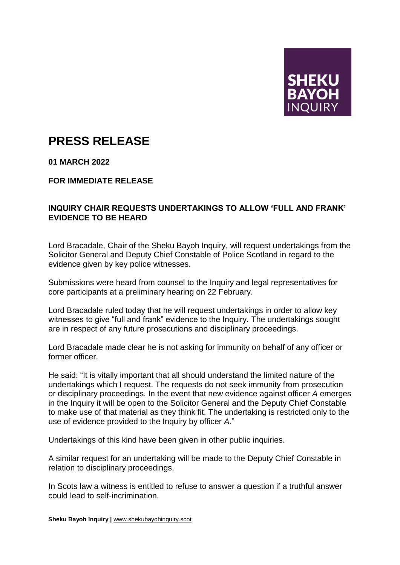

## **PRESS RELEASE**

**01 MARCH 2022**

**FOR IMMEDIATE RELEASE**

## **INQUIRY CHAIR REQUESTS UNDERTAKINGS TO ALLOW 'FULL AND FRANK' EVIDENCE TO BE HEARD**

Lord Bracadale, Chair of the Sheku Bayoh Inquiry, will request undertakings from the Solicitor General and Deputy Chief Constable of Police Scotland in regard to the evidence given by key police witnesses.

Submissions were heard from counsel to the Inquiry and legal representatives for core participants at a preliminary hearing on 22 February.

Lord Bracadale ruled today that he will request undertakings in order to allow key witnesses to give "full and frank" evidence to the Inquiry. The undertakings sought are in respect of any future prosecutions and disciplinary proceedings.

Lord Bracadale made clear he is not asking for immunity on behalf of any officer or former officer.

He said: "It is vitally important that all should understand the limited nature of the undertakings which I request. The requests do not seek immunity from prosecution or disciplinary proceedings. In the event that new evidence against officer *A* emerges in the Inquiry it will be open to the Solicitor General and the Deputy Chief Constable to make use of that material as they think fit. The undertaking is restricted only to the use of evidence provided to the Inquiry by officer *A*."

Undertakings of this kind have been given in other public inquiries.

A similar request for an undertaking will be made to the Deputy Chief Constable in relation to disciplinary proceedings.

In Scots law a witness is entitled to refuse to answer a question if a truthful answer could lead to self-incrimination.

**Sheku Bayoh Inquiry |** [www.shekubayohinquiry.scot](http://www.shekubayohinquiry.scot/)